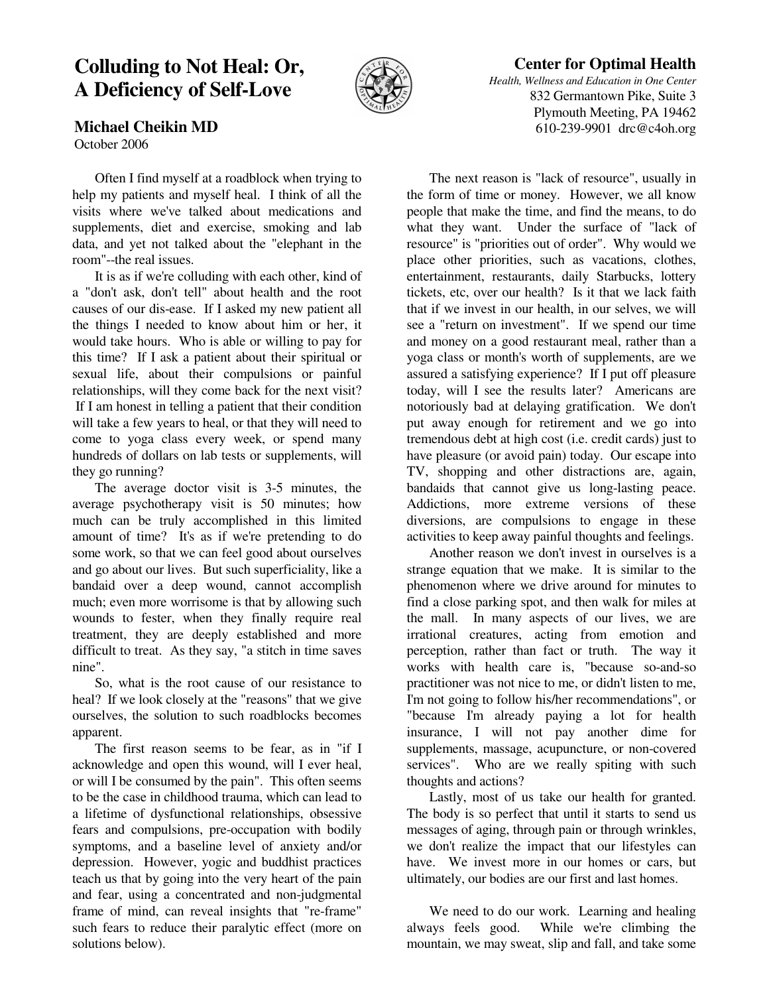## **Colluding to Not Heal: Or, A Deficiency of Self-Love**

**Michael Cheikin MD**

October 2006



## **Center for Optimal Health**

*Health, Wellness and Education in One Center* 832 Germantown Pike, Suite 3 Plymouth Meeting, PA 19462 610-239-9901 drc@c4oh.org

 Often I find myself at a roadblock when trying to help my patients and myself heal. I think of all the visits where we've talked about medications and supplements, diet and exercise, smoking and lab

data, and yet not talked about the "elephant in the

room"--the real issues. It is as if we're colluding with each other, kind of a "don't ask, don't tell" about health and the root causes of our dis-ease. If I asked my new patient all the things I needed to know about him or her, it would take hours. Who is able or willing to pay for this time? If I ask a patient about their spiritual or sexual life, about their compulsions or painful relationships, will they come back for the next visit? If I am honest in telling a patient that their condition will take a few years to heal, or that they will need to come to yoga class every week, or spend many hundreds of dollars on lab tests or supplements, will they go running?

 The average doctor visit is 3-5 minutes, the average psychotherapy visit is 50 minutes; how much can be truly accomplished in this limited amount of time? It's as if we're pretending to do some work, so that we can feel good about ourselves and go about our lives. But such superficiality, like a bandaid over a deep wound, cannot accomplish much; even more worrisome is that by allowing such wounds to fester, when they finally require real treatment, they are deeply established and more difficult to treat. As they say, "a stitch in time saves nine".

 So, what is the root cause of our resistance to heal? If we look closely at the "reasons" that we give ourselves, the solution to such roadblocks becomes apparent.

 The first reason seems to be fear, as in "if I acknowledge and open this wound, will I ever heal, or will I be consumed by the pain". This often seems to be the case in childhood trauma, which can lead to a lifetime of dysfunctional relationships, obsessive fears and compulsions, pre-occupation with bodily symptoms, and a baseline level of anxiety and/or depression. However, yogic and buddhist practices teach us that by going into the very heart of the pain and fear, using a concentrated and non-judgmental frame of mind, can reveal insights that "re-frame" such fears to reduce their paralytic effect (more on solutions below).

 The next reason is "lack of resource", usually in the form of time or money. However, we all know people that make the time, and find the means, to do what they want. Under the surface of "lack of resource" is "priorities out of order". Why would we place other priorities, such as vacations, clothes, entertainment, restaurants, daily Starbucks, lottery tickets, etc, over our health? Is it that we lack faith that if we invest in our health, in our selves, we will see a "return on investment". If we spend our time and money on a good restaurant meal, rather than a yoga class or month's worth of supplements, are we assured a satisfying experience? If I put off pleasure today, will I see the results later? Americans are notoriously bad at delaying gratification. We don't put away enough for retirement and we go into tremendous debt at high cost (i.e. credit cards) just to have pleasure (or avoid pain) today. Our escape into TV, shopping and other distractions are, again, bandaids that cannot give us long-lasting peace. Addictions, more extreme versions of these diversions, are compulsions to engage in these activities to keep away painful thoughts and feelings.

 Another reason we don't invest in ourselves is a strange equation that we make. It is similar to the phenomenon where we drive around for minutes to find a close parking spot, and then walk for miles at the mall. In many aspects of our lives, we are irrational creatures, acting from emotion and perception, rather than fact or truth. The way it works with health care is, "because so-and-so practitioner was not nice to me, or didn't listen to me, I'm not going to follow his/her recommendations", or "because I'm already paying a lot for health insurance, I will not pay another dime for supplements, massage, acupuncture, or non-covered services". Who are we really spiting with such thoughts and actions?

 Lastly, most of us take our health for granted. The body is so perfect that until it starts to send us messages of aging, through pain or through wrinkles, we don't realize the impact that our lifestyles can have. We invest more in our homes or cars, but ultimately, our bodies are our first and last homes.

 We need to do our work. Learning and healing always feels good. While we're climbing the mountain, we may sweat, slip and fall, and take some